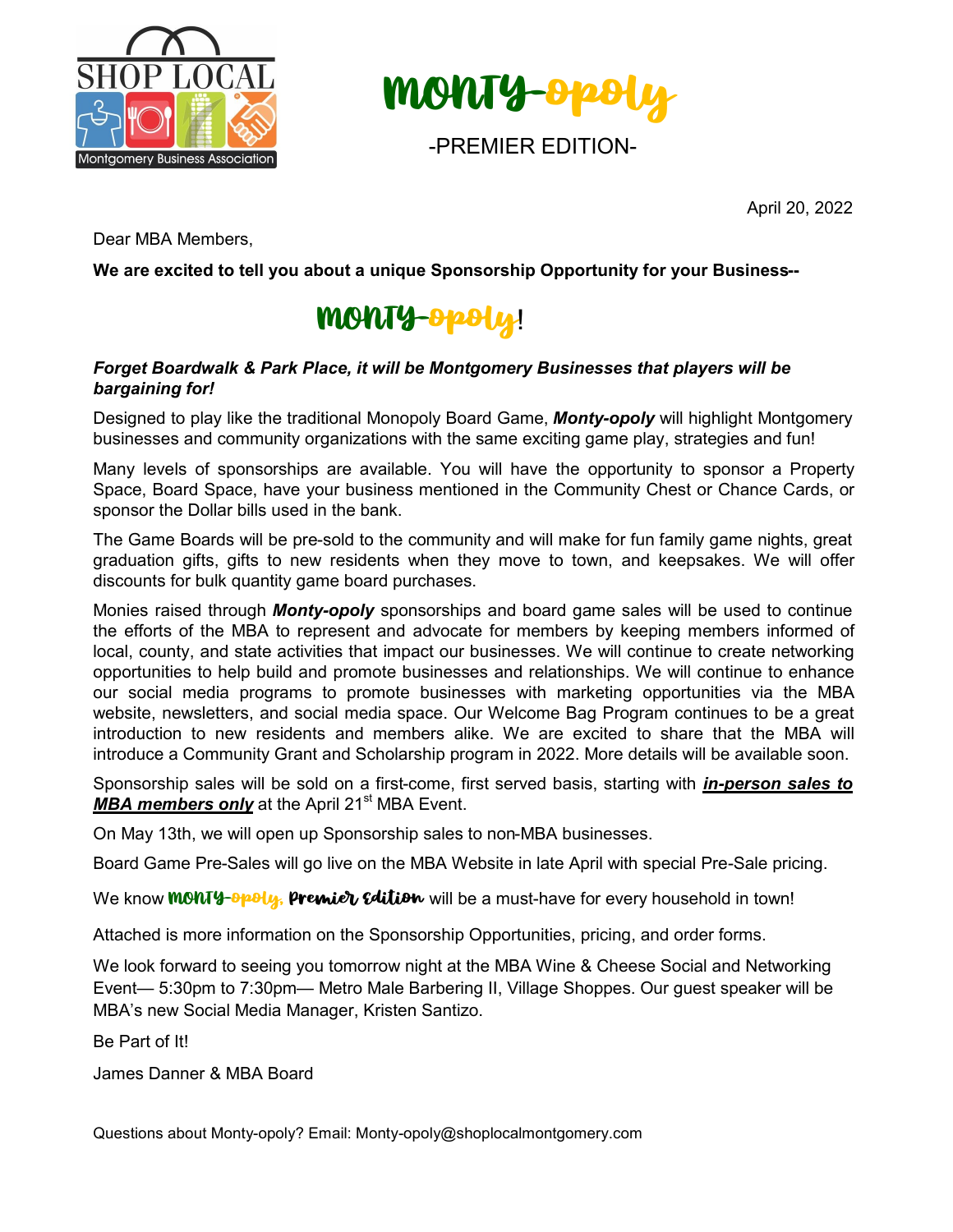



April 20, 2022

Dear MBA Members,

**We are excited to tell you about a unique Sponsorship Opportunity for your Business--**

## MONTY-opoly!

#### *Forget Boardwalk & Park Place, it will be Montgomery Businesses that players will be bargaining for!*

Designed to play like the traditional Monopoly Board Game, *Monty-opoly* will highlight Montgomery businesses and community organizations with the same exciting game play, strategies and fun!

Many levels of sponsorships are available. You will have the opportunity to sponsor a Property Space, Board Space, have your business mentioned in the Community Chest or Chance Cards, or sponsor the Dollar bills used in the bank.

The Game Boards will be pre-sold to the community and will make for fun family game nights, great graduation gifts, gifts to new residents when they move to town, and keepsakes. We will offer discounts for bulk quantity game board purchases.

Monies raised through *Monty-opoly* sponsorships and board game sales will be used to continue the efforts of the MBA to represent and advocate for members by keeping members informed of local, county, and state activities that impact our businesses. We will continue to create networking opportunities to help build and promote businesses and relationships. We will continue to enhance our social media programs to promote businesses with marketing opportunities via the MBA website, newsletters, and social media space. Our Welcome Bag Program continues to be a great introduction to new residents and members alike. We are excited to share that the MBA will introduce a Community Grant and Scholarship program in 2022. More details will be available soon.

Sponsorship sales will be sold on a first-come, first served basis, starting with *in-person sales to*  **MBA members only** at the April 21<sup>st</sup> MBA Event.

On May 13th, we will open up Sponsorship sales to non-MBA businesses.

Board Game Pre-Sales will go live on the MBA Website in late April with special Pre-Sale pricing.

We know **MONTY-Opoly, Premier Edition** will be a must-have for every household in town!

Attached is more information on the Sponsorship Opportunities, pricing, and order forms.

We look forward to seeing you tomorrow night at the MBA Wine & Cheese Social and Networking Event— 5:30pm to 7:30pm— Metro Male Barbering II, Village Shoppes. Our guest speaker will be MBA's new Social Media Manager, Kristen Santizo.

Be Part of It!

James Danner & MBA Board

Questions about Monty-opoly? Email: Monty-opoly@shoplocalmontgomery.com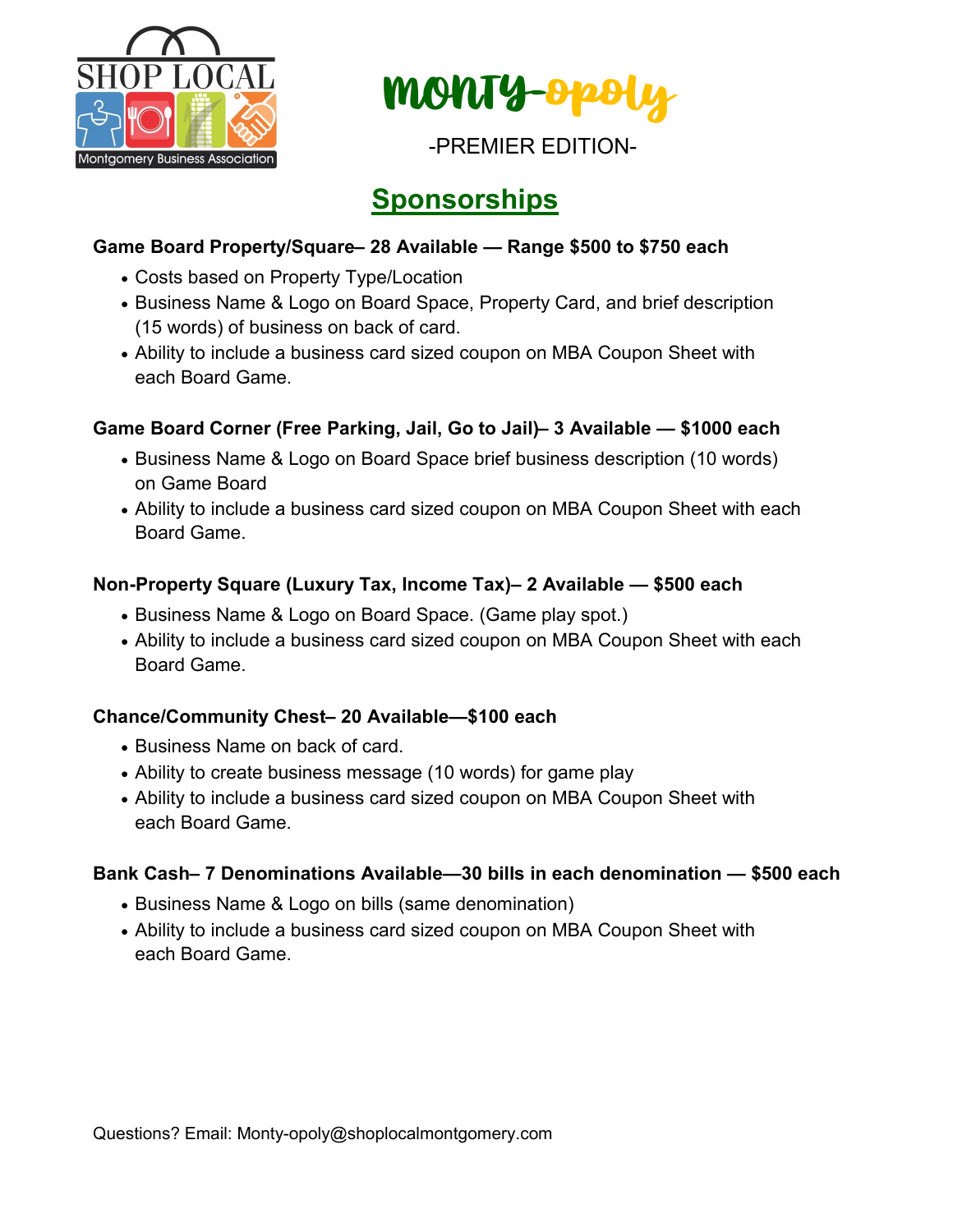



## **Sponsorships**

### **Game Board Property/Square– 28 Available — Range \$500 to \$750 each**

- Costs based on Property Type/Location
- Business Name & Logo on Board Space, Property Card, and brief description (15 words) of business on back of card.
- Ability to include a business card sized coupon on MBA Coupon Sheet with each Board Game.

### **Game Board Corner (Free Parking, Jail, Go to Jail)– 3 Available — \$1000 each**

- Business Name & Logo on Board Space brief business description (10 words) on Game Board
- Ability to include a business card sized coupon on MBA Coupon Sheet with each Board Game.

#### **Non-Property Square (Luxury Tax, Income Tax)– 2 Available — \$500 each**

- Business Name & Logo on Board Space. (Game play spot.)
- Ability to include a business card sized coupon on MBA Coupon Sheet with each Board Game.

### **Chance/Community Chest– 20 Available—\$100 each**

- Business Name on back of card.
- Ability to create business message (10 words) for game play
- Ability to include a business card sized coupon on MBA Coupon Sheet with each Board Game.

### **Bank Cash– 7 Denominations Available—30 bills in each denomination — \$500 each**

- Business Name & Logo on bills (same denomination)
- Ability to include a business card sized coupon on MBA Coupon Sheet with each Board Game.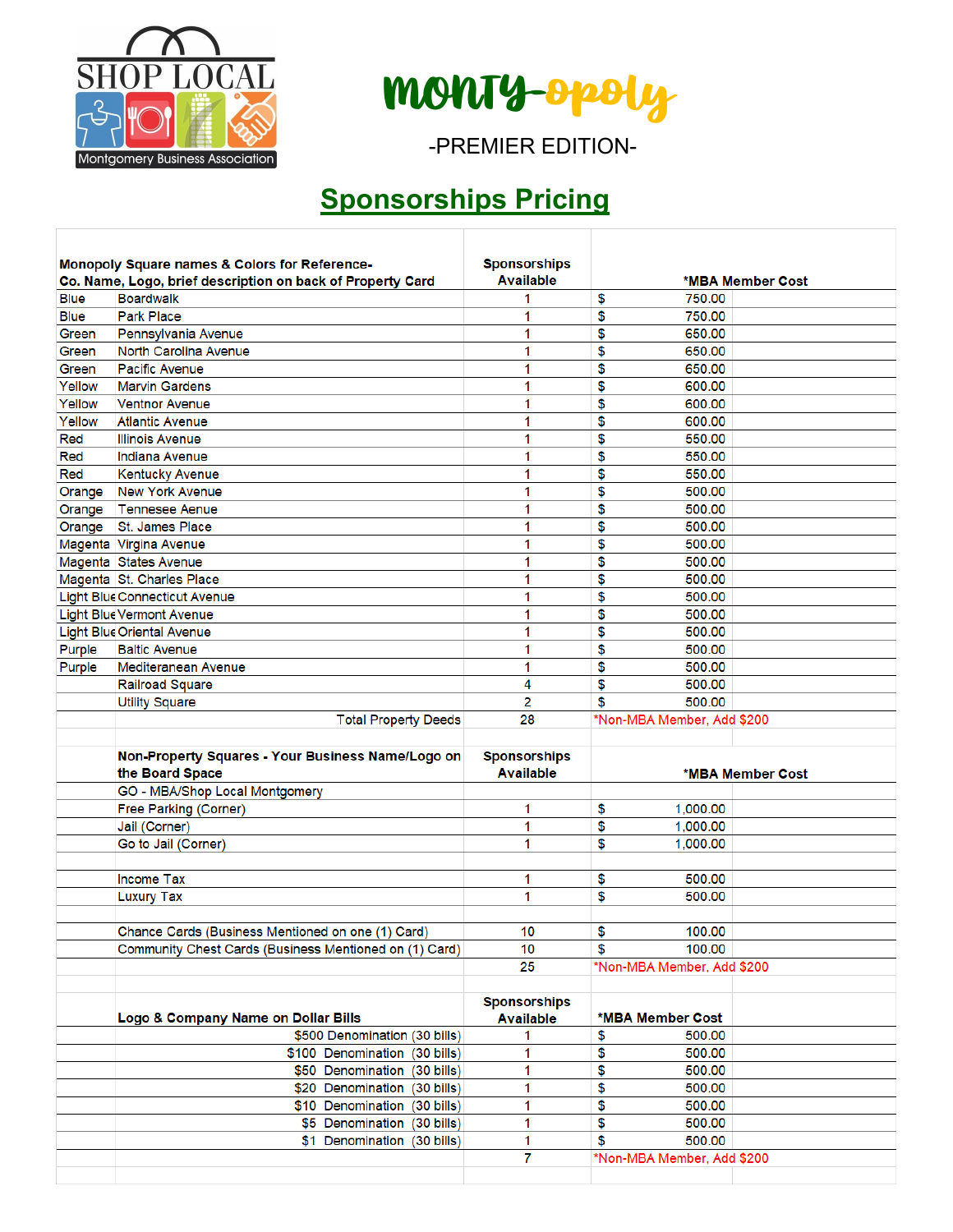

MONTY-opoly

-PREMIER EDITION-

# **Sponsorships Pricing**

|             | Monopoly Square names & Colors for Reference-<br>Co. Name, Logo, brief description on back of Property Card | <b>Sponsorships</b><br><b>Available</b> | *MBA Member Cost           |  |
|-------------|-------------------------------------------------------------------------------------------------------------|-----------------------------------------|----------------------------|--|
| <b>Blue</b> | <b>Boardwalk</b>                                                                                            | 1                                       | \$<br>750.00               |  |
| <b>Blue</b> | <b>Park Place</b>                                                                                           | 1                                       | \$<br>750.00               |  |
| Green       | Pennsylvania Avenue                                                                                         | 1                                       | \$<br>650.00               |  |
| Green       | <b>North Carolina Avenue</b>                                                                                | 1                                       | \$<br>650.00               |  |
| Green       | <b>Pacific Avenue</b>                                                                                       | 1                                       | \$<br>650.00               |  |
| Yellow      | <b>Marvin Gardens</b>                                                                                       | 1                                       | \$<br>600.00               |  |
| Yellow      | <b>Ventnor Avenue</b>                                                                                       | 1                                       | \$<br>600.00               |  |
| Yellow      | <b>Atlantic Avenue</b>                                                                                      | 1                                       | \$<br>600.00               |  |
| Red         | <b>Illinois Avenue</b>                                                                                      | 1                                       | \$<br>550.00               |  |
| Red         | Indiana Avenue                                                                                              | 1                                       | \$<br>550.00               |  |
| Red         | <b>Kentucky Avenue</b>                                                                                      | 1                                       | \$<br>550.00               |  |
| Orange      | <b>New York Avenue</b>                                                                                      | 1                                       | \$<br>500.00               |  |
|             | Orange   Tennesee Aenue                                                                                     | 1                                       | \$<br>500.00               |  |
| Orange      | St. James Place                                                                                             | 1                                       | \$<br>500.00               |  |
|             | Magenta Virgina Avenue                                                                                      | 1                                       | \$<br>500.00               |  |
|             | Magenta States Avenue                                                                                       | 1                                       | \$<br>500.00               |  |
|             | Magenta St. Charles Place                                                                                   | 1                                       | \$<br>500.00               |  |
|             | <b>Light Blue Connecticut Avenue</b>                                                                        | 1                                       | \$<br>500.00               |  |
|             | <b>Light Blue Vermont Avenue</b>                                                                            | 1                                       | \$<br>500.00               |  |
|             | <b>Light Blue Oriental Avenue</b>                                                                           | 1                                       | \$<br>500.00               |  |
| Purple      | <b>Baltic Avenue</b>                                                                                        | 1                                       | \$<br>500.00               |  |
| Purple      | Mediteranean Avenue                                                                                         | 1                                       | \$<br>500.00               |  |
|             | <b>Railroad Square</b>                                                                                      | 4                                       | \$<br>500.00               |  |
|             | <b>Utility Square</b>                                                                                       | 2                                       | \$<br>500.00               |  |
|             | <b>Total Property Deeds</b>                                                                                 | 28                                      | *Non-MBA Member, Add \$200 |  |
|             |                                                                                                             |                                         |                            |  |
|             |                                                                                                             |                                         |                            |  |
|             | Non-Property Squares - Your Business Name/Logo on<br>the Board Space                                        | <b>Sponsorships</b><br><b>Available</b> | *MBA Member Cost           |  |
|             | GO - MBA/Shop Local Montgomery                                                                              |                                         |                            |  |
|             | Free Parking (Corner)                                                                                       | 1                                       | \$<br>1,000.00             |  |
|             | Jail (Corner)                                                                                               | 1                                       | \$<br>1,000.00             |  |
|             | Go to Jail (Corner)                                                                                         | 1                                       | \$<br>1.000.00             |  |
|             |                                                                                                             |                                         |                            |  |
|             | <b>Income Tax</b>                                                                                           | 1                                       | \$<br>500.00               |  |
|             | <b>Luxury Tax</b>                                                                                           | 1                                       | \$<br>500.00               |  |
|             |                                                                                                             |                                         |                            |  |
|             | Chance Cards (Business Mentioned on one (1) Card)                                                           | 10                                      | \$<br>100.00               |  |
|             | Community Chest Cards (Business Mentioned on (1) Card)                                                      | 10                                      | \$<br>100.00               |  |
|             |                                                                                                             | 25                                      | *Non-MBA Member, Add \$200 |  |
|             |                                                                                                             |                                         |                            |  |
|             | Logo & Company Name on Dollar Bills                                                                         | <b>Sponsorships</b><br><b>Available</b> | *MBA Member Cost           |  |
|             | \$500 Denomination (30 bills)                                                                               | 1                                       | \$<br>500.00               |  |
|             | \$100 Denomination (30 bills)                                                                               | 1                                       | \$<br>500.00               |  |
|             | \$50 Denomination (30 bills)                                                                                | 1                                       | \$<br>500.00               |  |
|             | \$20 Denomination (30 bills)                                                                                | 1                                       | \$<br>500.00               |  |
|             | \$10 Denomination (30 bills)                                                                                | 1                                       | \$<br>500.00               |  |
|             | \$5 Denomination (30 bills)                                                                                 | 1                                       | \$<br>500.00               |  |
|             | \$1 Denomination (30 bills)                                                                                 | 1                                       | \$<br>500.00               |  |
|             |                                                                                                             | 7                                       | *Non-MBA Member, Add \$200 |  |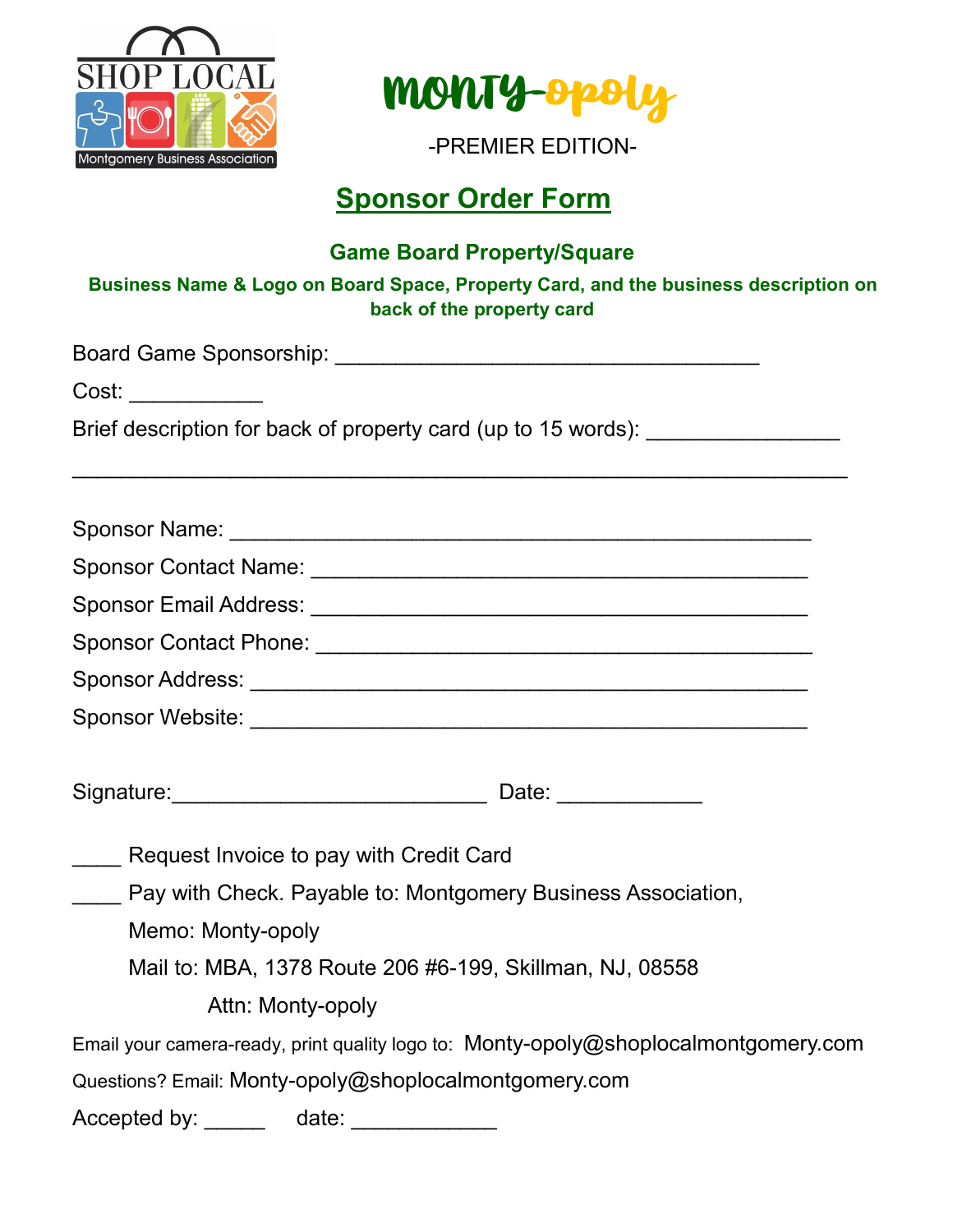



## **Sponsor Order Form**

### **Game Board Property/Square**

### **Business Name & Logo on Board Space, Property Card, and the business description on back of the property card**

Board Game Sponsorship: \_\_\_\_\_\_\_\_\_\_\_\_\_\_\_\_\_\_\_\_\_\_\_\_\_\_\_\_\_\_\_\_\_\_\_ Cost: \_\_\_\_\_\_\_\_\_\_\_ Brief description for back of property card (up to 15 words): \_\_\_\_\_\_\_\_\_\_\_\_\_\_\_\_\_\_  $\mathcal{L}_\text{max}$  , and the contract of the contract of the contract of the contract of the contract of the contract of the contract of the contract of the contract of the contract of the contract of the contract of the contr Sponsor Name: \_\_\_\_\_\_\_\_\_\_\_\_\_\_\_\_\_\_\_\_\_\_\_\_\_\_\_\_\_\_\_\_\_\_\_\_\_\_\_\_\_\_\_\_\_\_\_\_ Sponsor Contact Name: \_\_\_\_\_\_\_\_\_\_\_\_\_\_\_\_\_\_\_\_\_\_\_\_\_\_\_\_\_\_\_\_\_\_\_\_\_\_\_\_\_ Sponsor Email Address: \_\_\_\_\_\_\_\_\_\_\_\_\_\_\_\_\_\_\_\_\_\_\_\_\_\_\_\_\_\_\_\_\_\_\_\_\_\_\_\_\_ Sponsor Contact Phone: \_\_\_\_\_\_\_\_\_\_\_\_\_\_\_\_\_\_\_\_\_\_\_\_\_\_\_\_\_\_\_\_\_\_\_\_\_\_\_\_\_ Sponsor Address: \_\_\_\_\_\_\_\_\_\_\_\_\_\_\_\_\_\_\_\_\_\_\_\_\_\_\_\_\_\_\_\_\_\_\_\_\_\_\_\_\_\_\_\_\_\_ Sponsor Website: \_\_\_\_\_\_\_\_\_\_\_\_\_\_\_\_\_\_\_\_\_\_\_\_\_\_\_\_\_\_\_\_\_\_\_\_\_\_\_\_\_\_\_\_\_\_ Signature:\_\_\_\_\_\_\_\_\_\_\_\_\_\_\_\_\_\_\_\_\_\_\_\_\_\_ Date: \_\_\_\_\_\_\_\_\_\_\_\_ Request Invoice to pay with Credit Card

Pay with Check. Payable to: Montgomery Business Association,

Memo: Monty-opoly

Mail to: MBA, 1378 Route 206 #6-199, Skillman, NJ, 08558

Attn: Monty-opoly

Email your camera-ready, print quality logo to: Monty-[opoly@shoplocalmontgomery.com](mailto:Monty-opoly@shoplocalmontgomery.com)

Questions? Email: Monty-[opoly@shoplocalmontgomery.com](mailto:Monty-opoly@shoplocalmontgomery.com)

Accepted by: \_\_\_\_\_\_ date: \_\_\_\_\_\_\_\_\_\_\_\_\_\_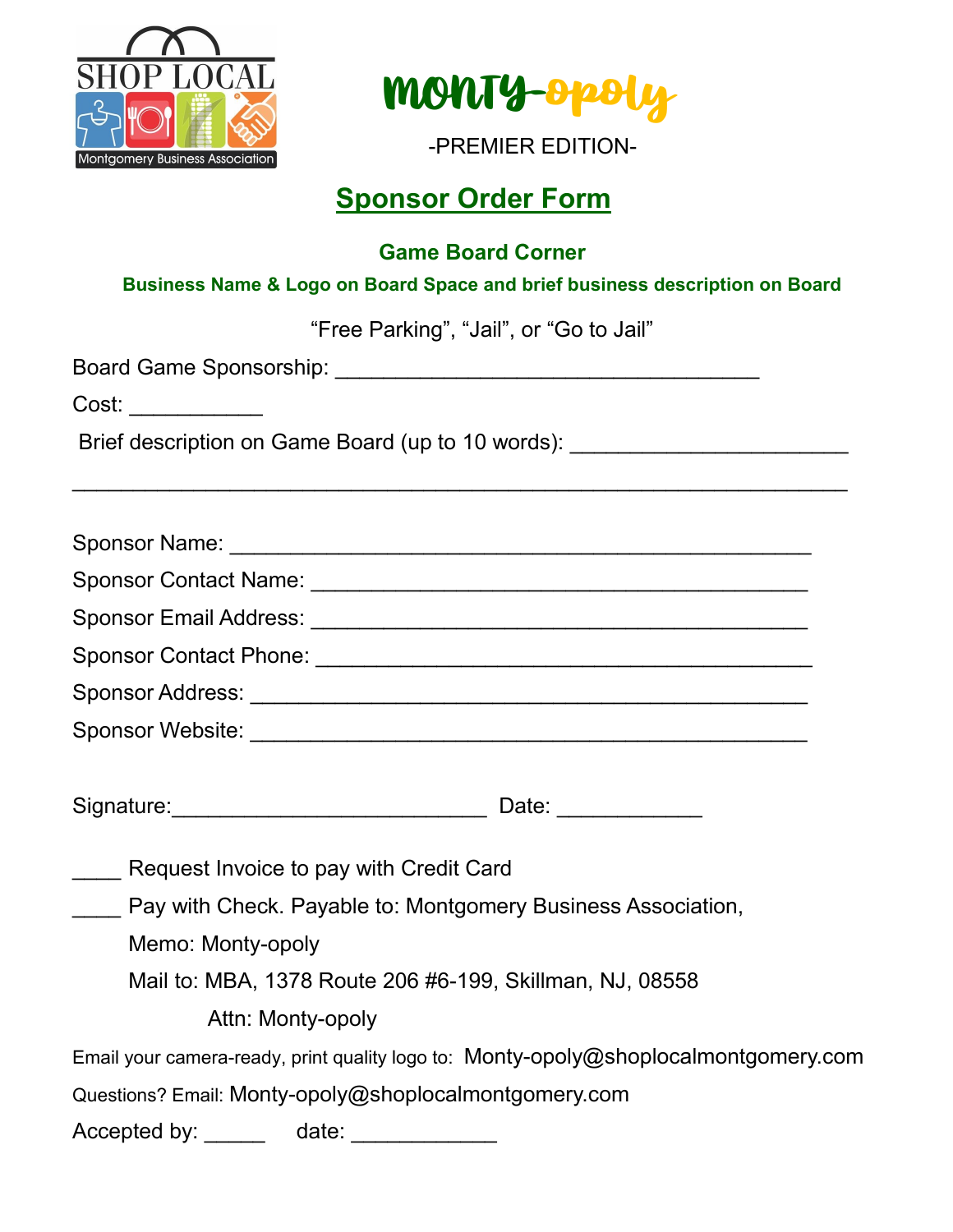



## **Sponsor Order Form**

**Game Board Corner**

**Business Name & Logo on Board Space and brief business description on Board**

"Free Parking", "Jail", or "Go to Jail"

Board Game Sponsorship: \_\_\_\_\_\_\_\_\_\_\_\_\_\_\_\_\_\_\_\_\_\_\_\_\_\_\_\_\_\_\_\_\_\_\_

Cost: \_\_\_\_\_\_\_\_\_\_\_

Brief description on Game Board (up to 10 words): \_\_\_\_\_\_\_\_\_\_\_\_\_\_\_\_\_\_\_\_\_\_\_\_\_\_\_\_\_\_

| Sponsor Name:                |  |
|------------------------------|--|
| <b>Sponsor Contact Name:</b> |  |
| Sponsor Email Address:       |  |
| Sponsor Contact Phone:       |  |
| Sponsor Address:             |  |
| <b>Sponsor Website:</b>      |  |

 $\mathcal{L}_\text{max}$  , and the contract of the contract of the contract of the contract of the contract of the contract of the contract of the contract of the contract of the contract of the contract of the contract of the contr

| Signature: |  |  |
|------------|--|--|
|            |  |  |

Request Invoice to pay with Credit Card

Pay with Check. Payable to: Montgomery Business Association,

Memo: Monty-opoly

Mail to: MBA, 1378 Route 206 #6-199, Skillman, NJ, 08558

Attn: Monty-opoly

Email your camera-ready, print quality logo to: Monty-[opoly@shoplocalmontgomery.com](mailto:Monty-opoly@shoplocalmontgomery.com)

Questions? Email: Monty-[opoly@shoplocalmontgomery.com](mailto:Monty-opoly@shoplocalmontgomery.com)

Accepted by: \_\_\_\_\_\_ date: \_\_\_\_\_\_\_\_\_\_\_\_\_\_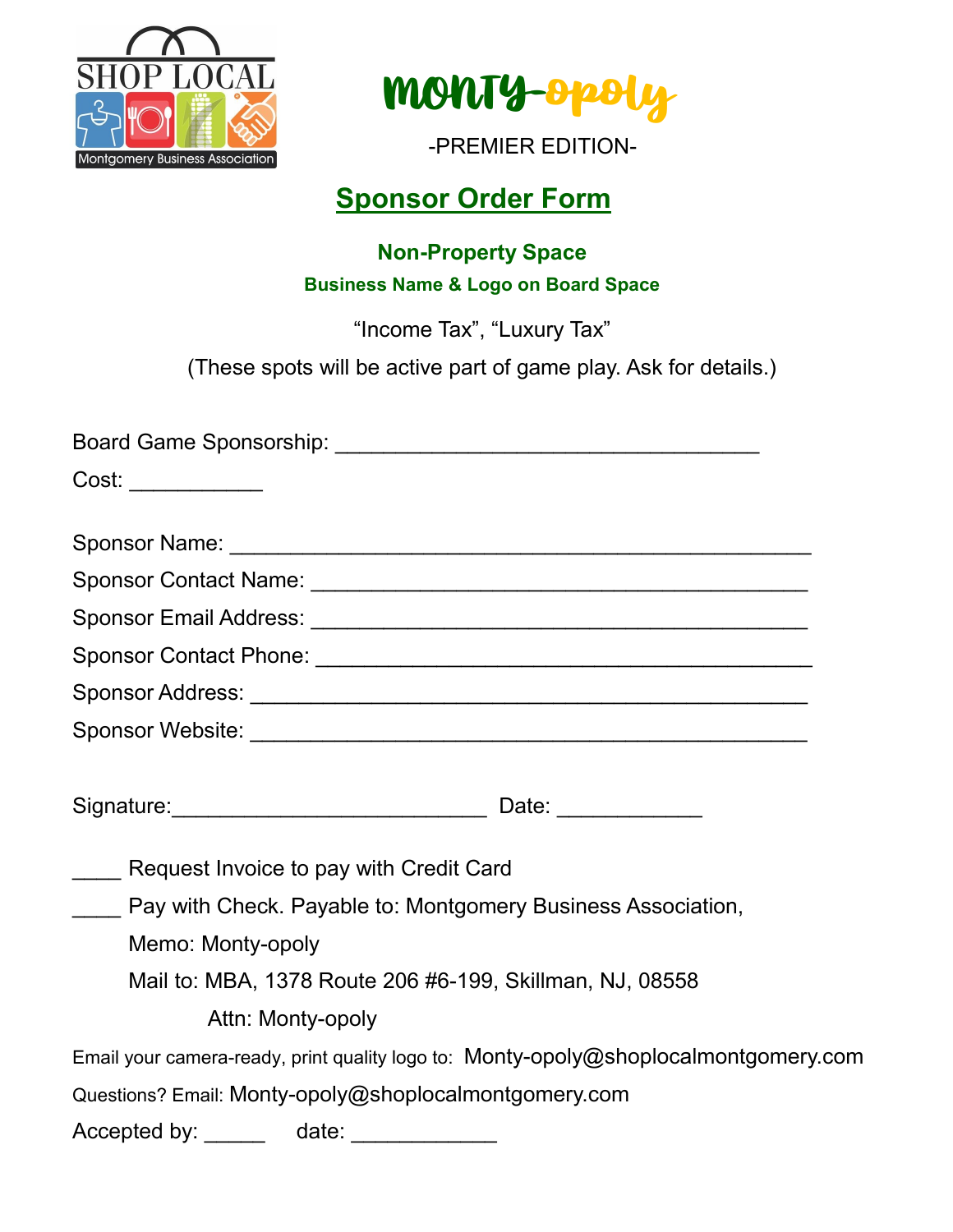



## **Sponsor Order Form**

### **Non-Property Space Business Name & Logo on Board Space**

"Income Tax", "Luxury Tax"

(These spots will be active part of game play. Ask for details.)

| Cost: ____________                                                                  |
|-------------------------------------------------------------------------------------|
|                                                                                     |
|                                                                                     |
|                                                                                     |
|                                                                                     |
|                                                                                     |
|                                                                                     |
|                                                                                     |
|                                                                                     |
|                                                                                     |
| Request Invoice to pay with Credit Card                                             |
| Pay with Check. Payable to: Montgomery Business Association,                        |
| Memo: Monty-opoly                                                                   |
| Mail to: MBA, 1378 Route 206 #6-199, Skillman, NJ, 08558                            |
| Attn: Monty-opoly                                                                   |
| Email your camera-ready, print quality logo to: Monty-opoly@shoplocalmontgomery.com |
| Questions? Email: Monty-opoly@shoplocalmontgomery.com                               |
| Accepted by: ______  date: _____________                                            |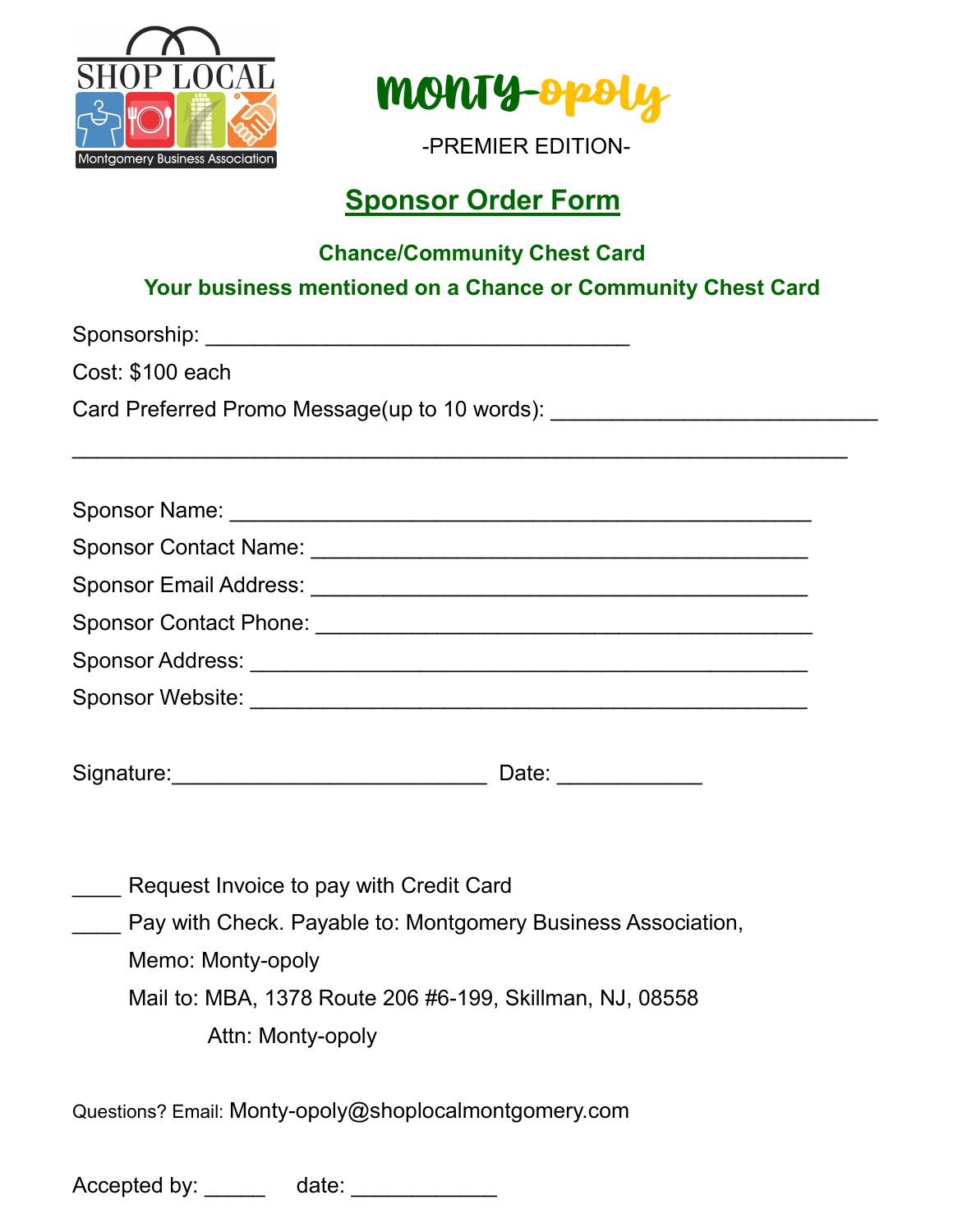



## **Sponsor Order Form**

### **Chance/Community Chest Card**

### **Your business mentioned on a Chance or Community Chest Card**

Sponsorship: \_\_\_\_\_\_\_\_\_\_\_\_\_\_\_\_\_\_\_\_\_\_\_\_\_\_\_\_\_\_\_\_\_\_\_

Cost: \$100 each

Card Preferred Promo Message(up to 10 words):

Sponsor Name: \_\_\_\_\_\_\_\_\_\_\_\_\_\_\_\_\_\_\_\_\_\_\_\_\_\_\_\_\_\_\_\_\_\_\_\_\_\_\_\_\_\_\_\_\_\_\_\_ Sponsor Contact Name:  $\Box$ Sponsor Email Address: \_\_\_\_\_\_\_\_\_\_\_\_\_\_\_\_\_\_\_\_\_\_\_\_\_\_\_\_\_\_\_\_\_\_\_\_\_\_\_\_\_ Sponsor Contact Phone: \_\_\_\_\_\_\_\_\_\_\_\_\_\_\_\_\_\_\_\_\_\_\_\_\_\_\_\_\_\_\_\_\_\_\_\_\_\_\_\_\_ Sponsor Address: \_\_\_\_\_\_\_\_\_\_\_\_\_\_\_\_\_\_\_\_\_\_\_\_\_\_\_\_\_\_\_\_\_\_\_\_\_\_\_\_\_\_\_\_\_\_ Sponsor Website: \_\_\_\_\_\_\_\_\_\_\_\_\_\_\_\_\_\_\_\_\_\_\_\_\_\_\_\_\_\_\_\_\_\_\_\_\_\_\_\_\_\_\_\_\_\_

 $\mathcal{L}_\text{max}$  , and the contract of the contract of the contract of the contract of the contract of the contract of the contract of the contract of the contract of the contract of the contract of the contract of the contr

| Signature: | ື |  |
|------------|---|--|
|            |   |  |

| Request Invoice to pay with Credit Card                      |
|--------------------------------------------------------------|
| Pay with Check. Payable to: Montgomery Business Association, |
| Memo: Monty-opoly                                            |
| Mail to: MBA, 1378 Route 206 #6-199, Skillman, NJ, 08558     |
| Attn: Monty-opoly                                            |
|                                                              |
| Questions? Email: Monty-opoly@shoplocalmontgomery.com        |
|                                                              |
|                                                              |

Accepted by: \_\_\_\_\_\_ date: \_\_\_\_\_\_\_\_\_\_\_\_